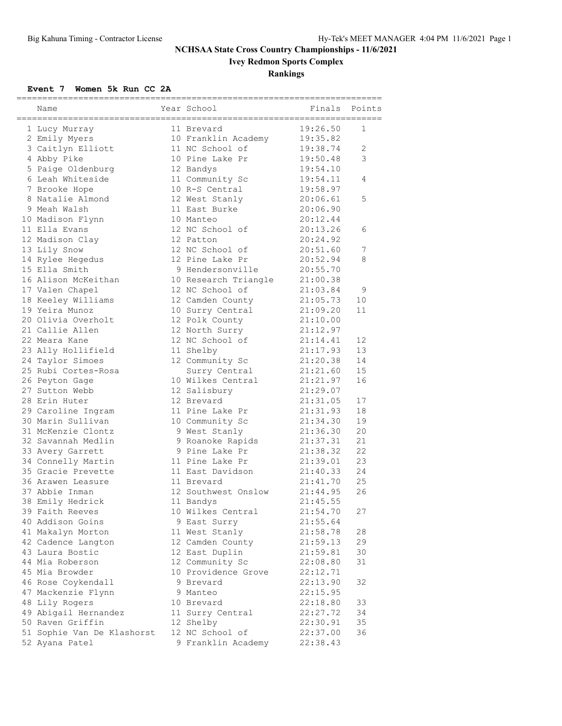# **Ivey Redmon Sports Complex**

## **Rankings**

#### **Event 7 Women 5k Run CC 2A**

| ;==========<br>Name        | Year School          | ---------------------<br>Finals<br>========================= | Points       |
|----------------------------|----------------------|--------------------------------------------------------------|--------------|
| 1 Lucy Murray              | 11 Brevard           | 19:26.50                                                     | 1            |
| 2 Emily Myers              | 10 Franklin Academy  | 19:35.82                                                     |              |
| 3 Caitlyn Elliott          | 11 NC School of      | 19:38.74                                                     | $\mathbf{2}$ |
| 4 Abby Pike                | 10 Pine Lake Pr      | 19:50.48                                                     | 3            |
| 5 Paige Oldenburg          | 12 Bandys            | 19:54.10                                                     |              |
| 6 Leah Whiteside           | 11 Community Sc      | 19:54.11                                                     | 4            |
| 7 Brooke Hope              | 10 R-S Central       | 19:58.97                                                     |              |
| 8 Natalie Almond           | 12 West Stanly       | 20:06.61                                                     | 5            |
| 9 Meah Walsh               | 11 East Burke        | 20:06.90                                                     |              |
| 10 Madison Flynn           | 10 Manteo            | 20:12.44                                                     |              |
| 11 Ella Evans              | 12 NC School of      | 20:13.26                                                     | 6            |
| 12 Madison Clay            | 12 Patton            | 20:24.92                                                     |              |
| 13 Lily Snow               | 12 NC School of      | 20:51.60                                                     | 7            |
| 14 Rylee Hegedus           | 12 Pine Lake Pr      | 20:52.94                                                     | 8            |
| 15 Ella Smith              | 9 Hendersonville     | 20:55.70                                                     |              |
| 16 Alison McKeithan        | 10 Research Triangle | 21:00.38                                                     |              |
| 17 Valen Chapel            | 12 NC School of      | 21:03.84                                                     | 9            |
| 18 Keeley Williams         | 12 Camden County     | 21:05.73                                                     | 10           |
| 19 Yeira Munoz             | 10 Surry Central     | 21:09.20                                                     | 11           |
| 20 Olivia Overholt         | 12 Polk County       | 21:10.00                                                     |              |
| 21 Callie Allen            | 12 North Surry       | 21:12.97                                                     |              |
| 22 Meara Kane              | 12 NC School of      | 21:14.41                                                     | 12           |
| 23 Ally Hollifield         | 11 Shelby            | 21:17.93                                                     | 13           |
| 24 Taylor Simoes           | 12 Community Sc      | 21:20.38                                                     | 14           |
| 25 Rubi Cortes-Rosa        | Surry Central        | 21:21.60                                                     | 15           |
| 26 Peyton Gage             | 10 Wilkes Central    | 21:21.97                                                     | 16           |
| 27 Sutton Webb             | 12 Salisbury         | 21:29.07                                                     |              |
| 28 Erin Huter              | 12 Brevard           | 21:31.05                                                     | 17           |
| 29 Caroline Ingram         | 11 Pine Lake Pr      | 21:31.93                                                     | 18           |
| 30 Marin Sullivan          | 10 Community Sc      | 21:34.30                                                     | 19           |
| 31 McKenzie Clontz         | 9 West Stanly        | 21:36.30                                                     | 20           |
| 32 Savannah Medlin         | 9 Roanoke Rapids     | 21:37.31                                                     | 21           |
| 33 Avery Garrett           | 9 Pine Lake Pr       | 21:38.32                                                     | 22           |
| 34 Connelly Martin         | 11 Pine Lake Pr      | 21:39.01                                                     | 23           |
| 35 Gracie Prevette         | 11 East Davidson     | 21:40.33                                                     | 24           |
| 36 Arawen Leasure          | 11 Brevard           | 21:41.70                                                     | 25           |
| 37 Abbie Inman             | 12 Southwest Onslow  | 21:44.95                                                     | 26           |
| 38 Emily Hedrick           | 11 Bandys            | 21:45.55                                                     |              |
| 39 Faith Reeves            | 10 Wilkes Central    | 21:54.70                                                     | 27           |
| 40 Addison Goins           | 9 East Surry         | 21:55.64                                                     |              |
| 41 Makalyn Morton          | 11 West Stanly       | 21:58.78                                                     | 28           |
| 42 Cadence Langton         | 12 Camden County     | 21:59.13                                                     | 29           |
| 43 Laura Bostic            | 12 East Duplin       | 21:59.81                                                     | 30           |
| 44 Mia Roberson            | 12 Community Sc      | 22:08.80                                                     | 31           |
| 45 Mia Browder             | 10 Providence Grove  | 22:12.71                                                     |              |
| 46 Rose Coykendall         | 9 Brevard            | 22:13.90                                                     | 32           |
| 47 Mackenzie Flynn         | 9 Manteo             | 22:15.95                                                     |              |
| 48 Lily Rogers             | 10 Brevard           | 22:18.80                                                     | 33           |
| 49 Abigail Hernandez       | 11 Surry Central     | 22:27.72                                                     | 34           |
| 50 Raven Griffin           | 12 Shelby            | 22:30.91                                                     | 35           |
| 51 Sophie Van De Klashorst | 12 NC School of      | 22:37.00                                                     | 36           |
| 52 Ayana Patel             | 9 Franklin Academy   | 22:38.43                                                     |              |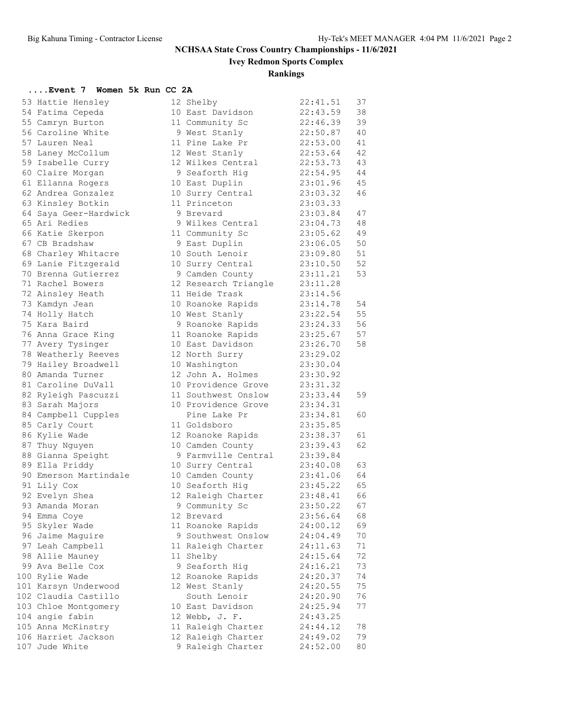**Ivey Redmon Sports Complex**

## **Rankings**

## **....Event 7 Women 5k Run CC 2A**

| 53 Hattie Hensley     | 12 Shelby            | 22:41.51 | 37 |
|-----------------------|----------------------|----------|----|
| 54 Fatima Cepeda      | 10 East Davidson     | 22:43.59 | 38 |
| 55 Camryn Burton      | 11 Community Sc      | 22:46.39 | 39 |
| 56 Caroline White     | 9 West Stanly        | 22:50.87 | 40 |
| 57 Lauren Neal        | 11 Pine Lake Pr      | 22:53.00 | 41 |
| 58 Laney McCollum     | 12 West Stanly       | 22:53.64 | 42 |
| 59 Isabelle Curry     | 12 Wilkes Central    | 22:53.73 | 43 |
| 60 Claire Morgan      | 9 Seaforth Hig       | 22:54.95 | 44 |
| 61 Ellanna Rogers     | 10 East Duplin       | 23:01.96 | 45 |
| 62 Andrea Gonzalez    | 10 Surry Central     | 23:03.32 | 46 |
| 63 Kinsley Botkin     | 11 Princeton         | 23:03.33 |    |
| 64 Saya Geer-Hardwick | 9 Brevard            | 23:03.84 | 47 |
| 65 Ari Redies         | 9 Wilkes Central     | 23:04.73 | 48 |
| 66 Katie Skerpon      | 11 Community Sc      | 23:05.62 | 49 |
| 67 CB Bradshaw        | 9 East Duplin        | 23:06.05 | 50 |
| 68 Charley Whitacre   | 10 South Lenoir      | 23:09.80 | 51 |
| 69 Lanie Fitzgerald   | 10 Surry Central     | 23:10.50 | 52 |
| 70 Brenna Gutierrez   | 9 Camden County      | 23:11.21 | 53 |
| 71 Rachel Bowers      | 12 Research Triangle | 23:11.28 |    |
| 72 Ainsley Heath      | 11 Heide Trask       | 23:14.56 |    |
| 73 Kamdyn Jean        | 10 Roanoke Rapids    | 23:14.78 | 54 |
| 74 Holly Hatch        | 10 West Stanly       | 23:22.54 | 55 |
| 75 Kara Baird         | 9 Roanoke Rapids     | 23:24.33 | 56 |
| 76 Anna Grace King    | 11 Roanoke Rapids    | 23:25.67 | 57 |
| 77 Avery Tysinger     | 10 East Davidson     | 23:26.70 | 58 |
| 78 Weatherly Reeves   | 12 North Surry       | 23:29.02 |    |
| 79 Hailey Broadwell   | 10 Washington        | 23:30.04 |    |
| 80 Amanda Turner      | 12 John A. Holmes    | 23:30.92 |    |
| 81 Caroline DuVall    | 10 Providence Grove  | 23:31.32 |    |
| 82 Ryleigh Pascuzzi   | 11 Southwest Onslow  | 23:33.44 | 59 |
| 83 Sarah Majors       | 10 Providence Grove  | 23:34.31 |    |
| 84 Campbell Cupples   | Pine Lake Pr         | 23:34.81 | 60 |
| 85 Carly Court        | 11 Goldsboro         | 23:35.85 |    |
| 86 Kylie Wade         | 12 Roanoke Rapids    | 23:38.37 | 61 |
| 87 Thuy Nguyen        | 10 Camden County     | 23:39.43 | 62 |
| 88 Gianna Speight     | 9 Farmville Central  | 23:39.84 |    |
| 89 Ella Priddy        | 10 Surry Central     | 23:40.08 | 63 |
| 90 Emerson Martindale | 10 Camden County     | 23:41.06 | 64 |
| 91 Lily Cox           | 10 Seaforth Hig      | 23:45.22 | 65 |
| 92 Evelyn Shea        | 12 Raleigh Charter   | 23:48.41 | 66 |
| 93 Amanda Moran       | 9 Community Sc       | 23:50.22 | 67 |
| 94 Emma Coye          | 12 Brevard           | 23:56.64 | 68 |
| 95 Skyler Wade        | 11 Roanoke Rapids    | 24:00.12 | 69 |
| 96 Jaime Maguire      | 9 Southwest Onslow   | 24:04.49 | 70 |
| 97 Leah Campbell      | 11 Raleigh Charter   | 24:11.63 | 71 |
| 98 Allie Mauney       | 11 Shelby            | 24:15.64 | 72 |
| 99 Ava Belle Cox      | 9 Seaforth Hig       | 24:16.21 | 73 |
| 100 Rylie Wade        | 12 Roanoke Rapids    | 24:20.37 | 74 |
| 101 Karsyn Underwood  | 12 West Stanly       | 24:20.55 | 75 |
| 102 Claudia Castillo  | South Lenoir         | 24:20.90 | 76 |
| 103 Chloe Montgomery  | 10 East Davidson     | 24:25.94 | 77 |
| 104 angie fabin       | 12 Webb, J. F.       | 24:43.25 |    |
| 105 Anna McKinstry    | 11 Raleigh Charter   | 24:44.12 | 78 |
| 106 Harriet Jackson   | 12 Raleigh Charter   | 24:49.02 | 79 |
| 107 Jude White        | 9 Raleigh Charter    | 24:52.00 | 80 |
|                       |                      |          |    |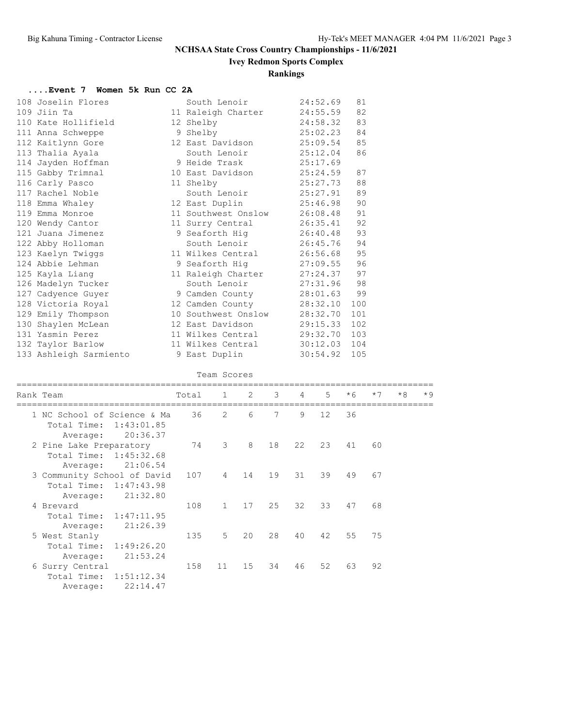## **Ivey Redmon Sports Complex**

## **Rankings**

#### **....Event 7 Women 5k Run CC 2A**

| 108 Joselin Flores                           | South Lenoir                 | 24:52.69 | 81  |
|----------------------------------------------|------------------------------|----------|-----|
| 109 Jiin Ta                                  | 11 Raleigh Charter           | 24:55.59 | 82  |
| 110 Kate Hollifield                          | 12 Shelby                    | 24:58.32 | 83  |
| 111 Anna Schweppe                            | 9 Shelby                     | 25:02.23 | 84  |
| 112 Kaitlynn Gore                            | 12 East Davidson 25:09.54    |          | 85  |
| 113 Thalia Ayala                             | South Lenoir 25:12.04        |          | 86  |
| 114 Jayden Hoffman                           | 9 Heide Trask 25:17.69       |          |     |
| 115 Gabby Trimnal                            | 10 East Davidson 25:24.59    |          | 87  |
| 116 Carly Pasco                              | 25:27.73<br>11 Shelby        |          | 88  |
| 117 Rachel Noble                             | South Lenoir 25:27.91        |          | 89  |
| 118 Emma Whaley                              | 12 East Duplin 25:46.98      |          | 90  |
| 119 Emma Monroe                              | 11 Southwest Onslow 26:08.48 |          | 91  |
| 120 Wendy Cantor                             | 11 Surry Central             | 26:35.41 | 92  |
| 121 Juana Jimenez                            | 9 Seaforth Hig 26:40.48      |          | 93  |
| 122 Abby Holloman                            | South Lenoir 26:45.76        |          | 94  |
| 123 Kaelyn Twiggs                            | 11 Wilkes Central            | 26:56.68 | 95  |
| 124 Abbie Lehman                             | 9 Seaforth Hig               | 27:09.55 | 96  |
| 125 Kayla Liang                              | 11 Raleigh Charter 27:24.37  |          | 97  |
| 126 Madelyn Tucker                           | South Lenoir 27:31.96        |          | 98  |
| 127 Cadyence Guyer                           | 9 Camden County              | 28:01.63 | 99  |
| 128 Victoria Royal                           | 12 Camden County 28:32.10    |          | 100 |
| 129 Emily Thompson                           | 10 Southwest Onslow          | 28:32.70 | 101 |
| 130 Shaylen McLean 12 East Davidson 29:15.33 |                              |          | 102 |
| 131 Yasmin Perez                             | 11 Wilkes Central 29:32.70   |          | 103 |
| 132 Taylor Barlow                            | 11 Wilkes Central 30:12.03   |          | 104 |
| 133 Ashleigh Sarmiento                       | 9 East Duplin                | 30:54.92 | 105 |

#### Team Scores

| Rank Team                                                                        | Total | $\mathbf{1}$ | $\overline{2}$ | 3 <sup>7</sup> | $\overline{4}$ | $5^{\circ}$ | $*6$ | $*7$ | $*8$ | $*9$ |
|----------------------------------------------------------------------------------|-------|--------------|----------------|----------------|----------------|-------------|------|------|------|------|
| 1 NC School of Science & Ma<br>Total Time:<br>1:43:01.85<br>20:36.37<br>Average: | 36    | 2            | 6              | 7              | 9              | 12          | 36   |      |      |      |
| 2 Pine Lake Preparatory<br>Total Time: 1:45:32.68<br>21:06.54<br>Average:        | 74    | 3            | 8              | 18             | 22             | 23          | 41   | 60   |      |      |
| 3 Community School of David<br>Total Time:<br>1:47:43.98<br>21:32.80<br>Average: | 107   | 4            | 14             | 19             | 31             | 39          | 49   | 67   |      |      |
| 4 Brevard<br>Total Time: 1:47:11.95<br>21:26.39<br>Average:                      | 108   | $\mathbf{1}$ | 17             | 25             | 32             | 33          | 47   | 68   |      |      |
| 5 West Stanly<br>Total Time: 1:49:26.20<br>21:53.24<br>Average:                  | 135   | 5            | 20             | 28             | 40             | 42          | 55   | 75   |      |      |
| 6 Surry Central<br>1:51:12.34<br>Total Time:                                     | 158   | 11           | 15             | 34             | 46             | 52          | 63   | 92   |      |      |

Average: 22:14.47